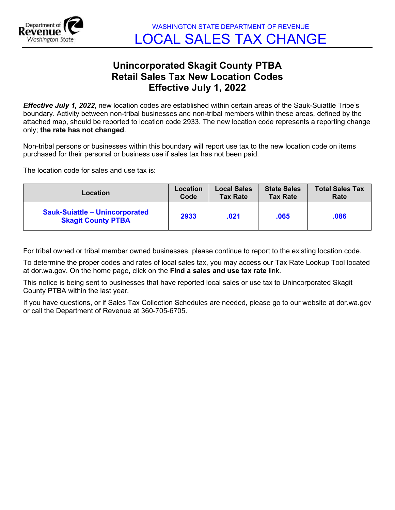

## **Unincorporated Skagit County PTBA Retail Sales Tax New Location Codes Effective July 1, 2022**

*Effective July 1, 2022*, new location codes are established within certain areas of the Sauk-Suiattle Tribe's boundary. Activity between non-tribal businesses and non-tribal members within these areas, defined by the attached map, should be reported to location code 2933. The new location code represents a reporting change only; **the rate has not changed**.

Non-tribal persons or businesses within this boundary will report use tax to the new location code on items purchased for their personal or business use if sales tax has not been paid.

The location code for sales and use tax is:

| Location                                                           | Location | <b>Local Sales</b> | <b>State Sales</b> | <b>Total Sales Tax</b> |
|--------------------------------------------------------------------|----------|--------------------|--------------------|------------------------|
|                                                                    | Code     | <b>Tax Rate</b>    | <b>Tax Rate</b>    | Rate                   |
| <b>Sauk-Suiattle - Unincorporated</b><br><b>Skagit County PTBA</b> | 2933     | .021               | .065               | .086                   |

For tribal owned or tribal member owned businesses, please continue to report to the existing location code.

To determine the proper codes and rates of local sales tax, you may access our Tax Rate Lookup Tool located at dor.wa.gov. On the home page, click on the **Find a sales and use tax rate** link.

This notice is being sent to businesses that have reported local sales or use tax to Unincorporated Skagit County PTBA within the last year.

If you have questions, or if Sales Tax Collection Schedules are needed, please go to our website at dor.wa.gov or call the Department of Revenue at 360-705-6705.